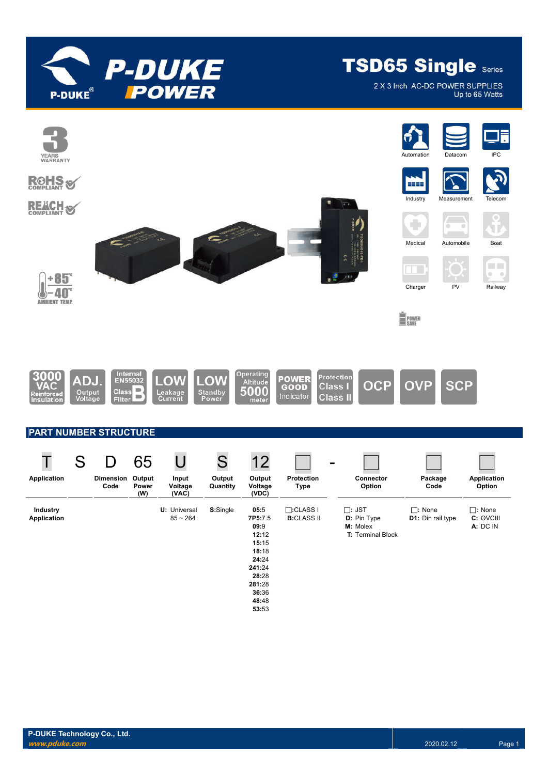

2 X 3 Inch AC-DC POWER SUPPLIES Up to 65 Watts

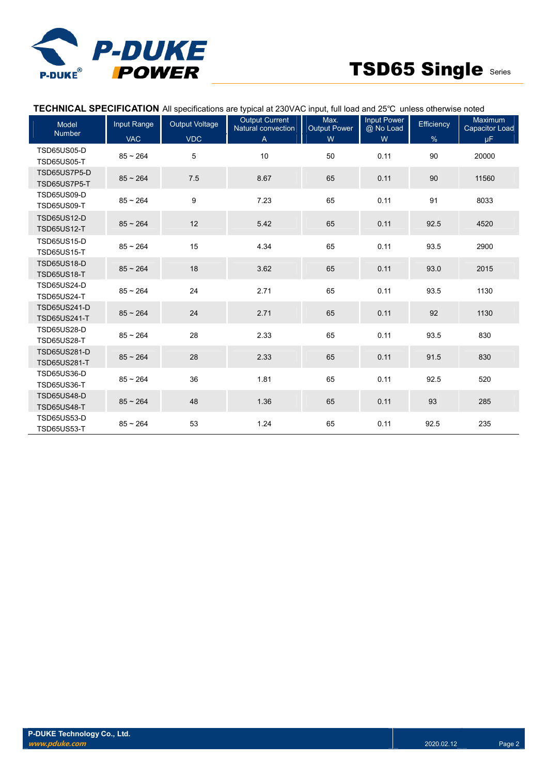

### **TECHNICAL SPECIFICATION** All specifications are typical at 230VAC input, full load and 25℃ unless otherwise noted

| <b>Model</b><br><b>Number</b>              | Input Range | <b>Output Voltage</b> | <b>Output Current</b><br>Natural convection | Max.<br><b>Output Power</b> | Input Power<br>@ No Load | Efficiency | <b>Maximum</b><br><b>Capacitor Load</b> |
|--------------------------------------------|-------------|-----------------------|---------------------------------------------|-----------------------------|--------------------------|------------|-----------------------------------------|
|                                            | <b>VAC</b>  | <b>VDC</b>            | A                                           | W                           | W                        | $\%$       | μF.                                     |
| <b>TSD65US05-D</b><br><b>TSD65US05-T</b>   | $85 - 264$  | 5                     | 10                                          | 50                          | 0.11                     | 90         | 20000                                   |
| TSD65US7P5-D<br>TSD65US7P5-T               | $85 - 264$  | 7.5                   | 8.67                                        | 65                          | 0.11                     | 90         | 11560                                   |
| <b>TSD65US09-D</b><br><b>TSD65US09-T</b>   | $85 - 264$  | 9                     | 7.23                                        | 65                          | 0.11                     | 91         | 8033                                    |
| <b>TSD65US12-D</b><br><b>TSD65US12-T</b>   | $85 - 264$  | 12                    | 5.42                                        | 65                          | 0.11                     | 92.5       | 4520                                    |
| <b>TSD65US15-D</b><br><b>TSD65US15-T</b>   | $85 - 264$  | 15                    | 4.34                                        | 65                          | 0.11                     | 93.5       | 2900                                    |
| <b>TSD65US18-D</b><br><b>TSD65US18-T</b>   | $85 - 264$  | 18                    | 3.62                                        | 65                          | 0.11                     | 93.0       | 2015                                    |
| <b>TSD65US24-D</b><br><b>TSD65US24-T</b>   | $85 - 264$  | 24                    | 2.71                                        | 65                          | 0.11                     | 93.5       | 1130                                    |
| <b>TSD65US241-D</b><br><b>TSD65US241-T</b> | $85 - 264$  | 24                    | 2.71                                        | 65                          | 0.11                     | 92         | 1130                                    |
| <b>TSD65US28-D</b><br><b>TSD65US28-T</b>   | $85 - 264$  | 28                    | 2.33                                        | 65                          | 0.11                     | 93.5       | 830                                     |
| <b>TSD65US281-D</b><br><b>TSD65US281-T</b> | $85 - 264$  | 28                    | 2.33                                        | 65                          | 0.11                     | 91.5       | 830                                     |
| <b>TSD65US36-D</b><br><b>TSD65US36-T</b>   | $85 - 264$  | 36                    | 1.81                                        | 65                          | 0.11                     | 92.5       | 520                                     |
| <b>TSD65US48-D</b><br><b>TSD65US48-T</b>   | $85 - 264$  | 48                    | 1.36                                        | 65                          | 0.11                     | 93         | 285                                     |
| <b>TSD65US53-D</b><br><b>TSD65US53-T</b>   | $85 - 264$  | 53                    | 1.24                                        | 65                          | 0.11                     | 92.5       | 235                                     |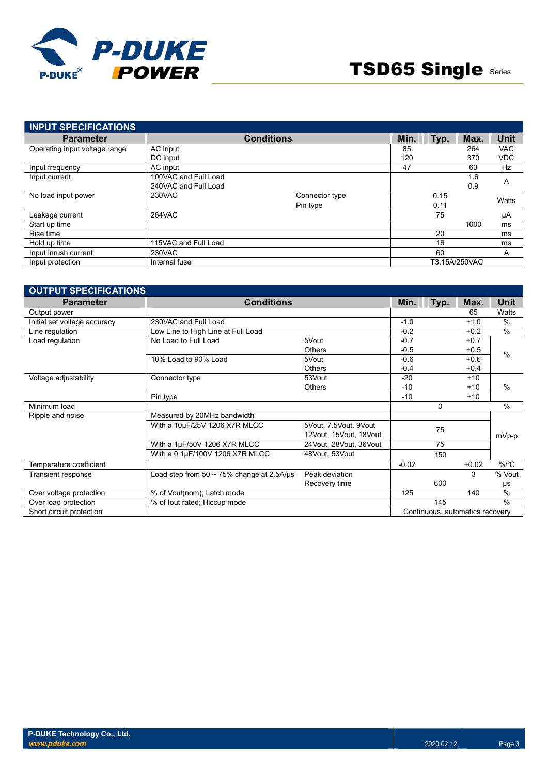

| <b>INPUT SPECIFICATIONS</b>   |                      |                   |      |      |               |            |
|-------------------------------|----------------------|-------------------|------|------|---------------|------------|
| <b>Parameter</b>              |                      | <b>Conditions</b> | Min. | Typ. | Max.          | Unit       |
| Operating input voltage range | AC input             |                   | 85   |      | 264           | <b>VAC</b> |
|                               | DC input             |                   | 120  |      | 370           | <b>VDC</b> |
| Input frequency               | AC input             |                   | 47   |      | 63            | <b>Hz</b>  |
| Input current                 | 100VAC and Full Load |                   |      |      | 1.6           |            |
|                               | 240VAC and Full Load |                   |      |      | 0.9           | A          |
| No load input power           | 230VAC               | Connector type    |      | 0.15 |               | Watts      |
|                               |                      | Pin type          |      | 0.11 |               |            |
| Leakage current               | 264VAC               |                   |      | 75   |               | μA         |
| Start up time                 |                      |                   |      |      | 1000          | ms         |
| Rise time                     |                      |                   |      | 20   |               | ms         |
| Hold up time                  | 115VAC and Full Load |                   |      | 16   |               | ms         |
| Input inrush current          | 230VAC               |                   |      | 60   |               | A          |
| Input protection              | Internal fuse        |                   |      |      | T3.15A/250VAC |            |

| <b>OUTPUT SPECIFICATIONS</b> |                                                |                        |         |      |                                 |               |
|------------------------------|------------------------------------------------|------------------------|---------|------|---------------------------------|---------------|
| <b>Parameter</b>             | <b>Conditions</b>                              |                        | Min.    | Typ. | Max.                            | Unit          |
| Output power                 |                                                |                        |         |      | 65                              | Watts         |
| Initial set voltage accuracy | 230VAC and Full Load                           |                        | $-1.0$  |      | $+1.0$                          | %             |
| Line regulation              | Low Line to High Line at Full Load             |                        | $-0.2$  |      | $+0.2$                          | %             |
| Load regulation              | No Load to Full Load                           | 5Vout                  | $-0.7$  |      | $+0.7$                          |               |
|                              |                                                | <b>Others</b>          | $-0.5$  |      | $+0.5$                          | $\%$          |
|                              | 10% Load to 90% Load                           | 5Vout                  | $-0.6$  |      | $+0.6$                          |               |
|                              |                                                | <b>Others</b>          | $-0.4$  |      | $+0.4$                          |               |
| Voltage adjustability        | Connector type                                 | 53Vout                 | $-20$   |      | $+10$                           |               |
|                              |                                                | <b>Others</b>          | $-10$   |      | $+10$                           | $\%$          |
|                              | Pin type                                       |                        | $-10$   |      | $+10$                           |               |
| Minimum load                 |                                                |                        |         | 0    |                                 | $\%$          |
| Ripple and noise             | Measured by 20MHz bandwidth                    |                        |         |      |                                 |               |
|                              | With a 10µF/25V 1206 X7R MLCC                  | 5Vout, 7.5Vout, 9Vout  |         |      |                                 |               |
|                              |                                                | 12Vout, 15Vout, 18Vout |         | 75   |                                 | mVp-p         |
|                              | With a 1µF/50V 1206 X7R MLCC                   | 24Vout, 28Vout, 36Vout |         | 75   |                                 |               |
|                              | With a 0.1µF/100V 1206 X7R MLCC                | 48Vout, 53Vout         |         | 150  |                                 |               |
| Temperature coefficient      |                                                |                        | $-0.02$ |      | $+0.02$                         | $\%$ /°C      |
| Transient response           | Load step from 50 $\sim$ 75% change at 2.5A/us | Peak deviation         |         |      | 3                               | % Vout        |
|                              |                                                | Recovery time          |         | 600  |                                 | μs            |
| Over voltage protection      | % of Vout(nom); Latch mode                     |                        | 125     |      | 140                             | $\%$          |
| Over load protection         | % of lout rated; Hiccup mode                   |                        |         | 145  |                                 | $\frac{0}{0}$ |
| Short circuit protection     |                                                |                        |         |      | Continuous, automatics recovery |               |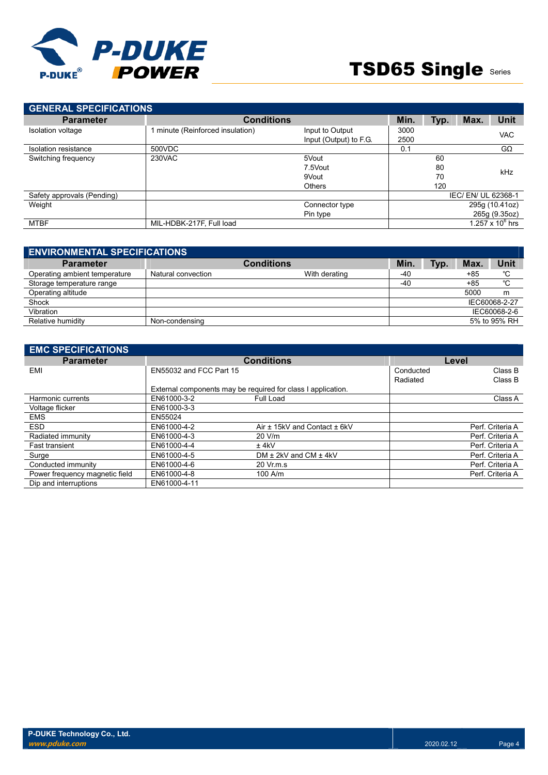

| <b>GENERAL SPECIFICATIONS</b> |                                |                        |      |      |                   |                     |  |
|-------------------------------|--------------------------------|------------------------|------|------|-------------------|---------------------|--|
| <b>Parameter</b>              | <b>Conditions</b>              |                        | Min. | Typ. | Max.              | <b>Unit</b>         |  |
| Isolation voltage             | minute (Reinforced insulation) | Input to Output        | 3000 |      |                   | <b>VAC</b>          |  |
|                               |                                | Input (Output) to F.G. | 2500 |      |                   |                     |  |
| Isolation resistance          | 500VDC                         |                        | 0.1  |      |                   | $G\Omega$           |  |
| Switching frequency           | 230VAC                         | 5Vout                  |      | 60   |                   |                     |  |
|                               |                                | 7.5Vout                |      | 80   |                   | kHz                 |  |
|                               |                                | 9Vout                  |      | 70   |                   |                     |  |
|                               |                                | <b>Others</b>          |      | 120  |                   |                     |  |
| Safety approvals (Pending)    |                                |                        |      |      | IEC/EN/UL 62368-1 |                     |  |
| Weight                        |                                | Connector type         |      |      |                   | 295g (10.41oz)      |  |
|                               |                                | Pin type               |      |      |                   | 265g (9.35oz)       |  |
| <b>MTBF</b>                   | MIL-HDBK-217F, Full load       |                        |      |      |                   | 1.257 x 10 $^6$ hrs |  |

| <b>ENVIRONMENTAL SPECIFICATIONS</b> |                    |                   |       |      |       |               |
|-------------------------------------|--------------------|-------------------|-------|------|-------|---------------|
| <b>Parameter</b>                    |                    | <b>Conditions</b> | Min.  | Typ. | Max.  | Unit          |
| Operating ambient temperature       | Natural convection | With derating     | $-40$ |      | $+85$ | °C            |
| Storage temperature range           |                    |                   | $-40$ |      | $+85$ | °C            |
| Operating altitude                  |                    |                   |       |      | 5000  | m             |
| Shock                               |                    |                   |       |      |       | IEC60068-2-27 |
| Vibration                           |                    |                   |       |      |       | IEC60068-2-6  |
| Relative humidity                   | Non-condensing     |                   |       |      |       | 5% to 95% RH  |

| <b>EMC SPECIFICATIONS</b>      |                         |                                                              |           |                  |
|--------------------------------|-------------------------|--------------------------------------------------------------|-----------|------------------|
| <b>Parameter</b>               |                         | <b>Conditions</b>                                            | Level     |                  |
| EMI                            | EN55032 and FCC Part 15 |                                                              | Conducted | Class B          |
|                                |                         |                                                              | Radiated  | Class B          |
|                                |                         | External components may be required for class I application. |           |                  |
| Harmonic currents              | EN61000-3-2             | Full Load                                                    |           | Class A          |
| Voltage flicker                | EN61000-3-3             |                                                              |           |                  |
| <b>EMS</b>                     | EN55024                 |                                                              |           |                  |
| <b>ESD</b>                     | EN61000-4-2             | Air ± 15kV and Contact ± 6kV                                 |           | Perf. Criteria A |
| Radiated immunity              | EN61000-4-3             | 20 V/m                                                       |           | Perf. Criteria A |
| <b>Fast transient</b>          | EN61000-4-4             | $±$ 4kV                                                      |           | Perf. Criteria A |
| Surge                          | EN61000-4-5             | DM $\pm$ 2kV and CM $\pm$ 4kV                                |           | Perf. Criteria A |
| Conducted immunity             | EN61000-4-6             | 20 Vr.m.s                                                    |           | Perf. Criteria A |
| Power frequency magnetic field | EN61000-4-8             | $100$ A/m                                                    |           | Perf. Criteria A |
| Dip and interruptions          | EN61000-4-11            |                                                              |           |                  |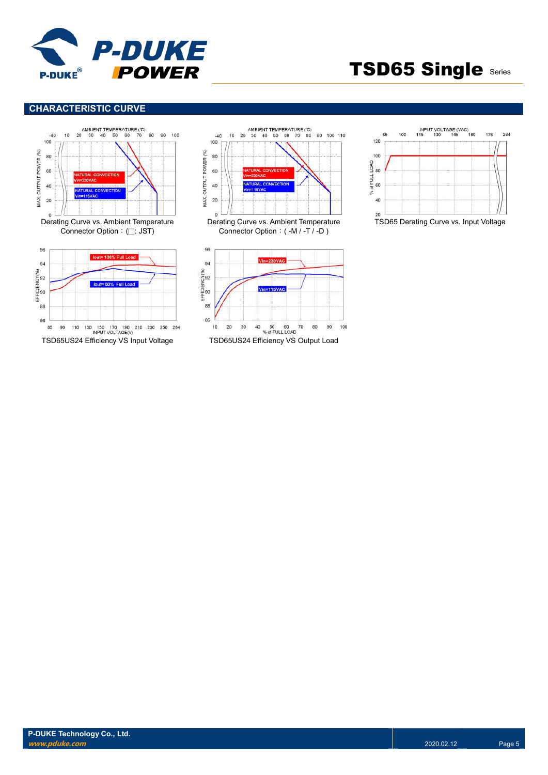

### **CHARACTERISTIC CURVE**





80 90 100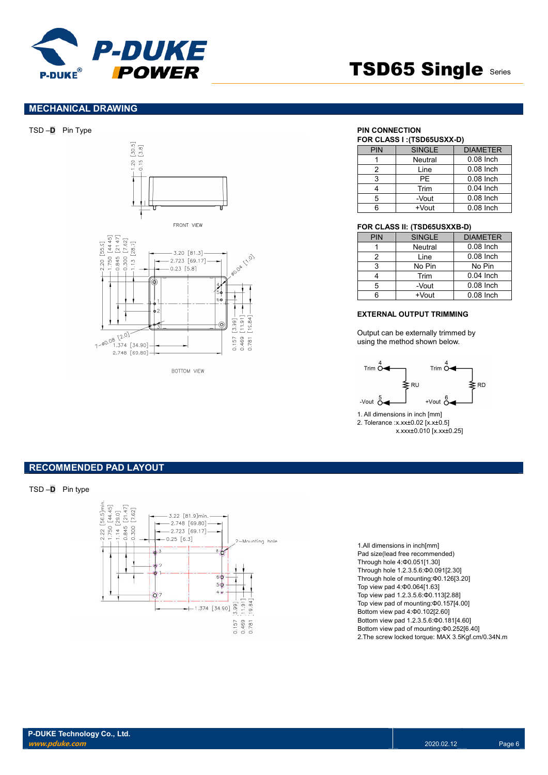

### **MECHANICAL DRAWING**







**ROTTOM VIEW** 

|  | FOR CLASS I : (TSD65USXX-D) |  |
|--|-----------------------------|--|
|--|-----------------------------|--|

| <b>PIN</b> | <b>SINGLE</b> | <b>DIAMETER</b> |
|------------|---------------|-----------------|
|            | Neutral       | $0.08$ Inch     |
| 2          | Line          | $0.08$ Inch     |
| 3          | PF            | $0.08$ Inch     |
|            | Trim          | $0.04$ Inch     |
| 5          | -Vout         | $0.08$ Inch     |
|            | $+V$ out      | $0.08$ Inch     |

#### **FOR CLASS II: (TSD65USXXB-D)**

| <b>PIN</b> | <b>SINGLE</b> | <b>DIAMETER</b> |
|------------|---------------|-----------------|
|            | Neutral       | $0.08$ Inch     |
| 2          | Line          | $0.08$ Inch     |
| 3          | No Pin        | No Pin          |
|            | Trim          | $0.04$ Inch     |
| 5          | -Vout         | $0.08$ Inch     |
| ี          | $+V$ out      | $0.08$ Inch     |

#### **EXTERNAL OUTPUT TRIMMING**

Output can be externally trimmed by using the method shown below.



1. All dimensions in inch [mm] 2. Tolerance :x.xx±0.02 [x.x±0.5] x.xxx±0.010 [x.xx±0.25]

### **RECOMMENDED PAD LAYOUT**

TSD –**D** Pin type



1.All dimensions in inch[mm] Pad size(lead free recommended) Through hole 4:Φ0.051[1.30] Through hole 1.2.3.5.6:Φ0.091[2.30] Through hole of mounting:Φ0.126[3.20] Top view pad 4:Φ0.064[1.63] Top view pad 1.2.3.5.6:Φ0.113[2.88] Top view pad of mounting:Φ0.157[4.00] Bottom view pad 4:Φ0.102[2.60] Bottom view pad 1.2.3.5.6:Φ0.181[4.60] Bottom view pad of mounting:Φ0.252[6.40] 2.The screw locked torque: MAX 3.5Kgf.cm/0.34N.m